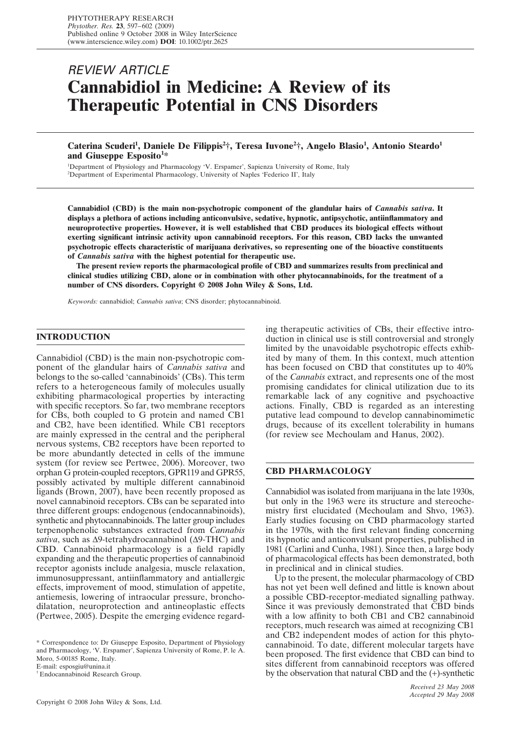# REVIEW ARTICLE **Cannabidiol in Medicine: A Review of its Therapeutic Potential in CNS Disorders**

Caterina Scuderi<sup>1</sup>, Daniele De Filippis<sup>2</sup>†, Teresa Iuvone<sup>2</sup>†, Angelo Blasio<sup>1</sup>, Antonio Steardo<sup>1</sup> **and Giuseppe Esposito1 \***

1 Department of Physiology and Pharmacology 'V. Erspamer', Sapienza University of Rome, Italy 2 Department of Experimental Pharmacology, University of Naples 'Federico II', Italy

**Cannabidiol (CBD) is the main non-psychotropic component of the glandular hairs of** *Cannabis sativa***. It displays a plethora of actions including anticonvulsive, sedative, hypnotic, antipsychotic, antiinflammatory and neuroprotective properties. However, it is well established that CBD produces its biological effects without exerting significant intrinsic activity upon cannabinoid receptors. For this reason, CBD lacks the unwanted psychotropic effects characteristic of marijuana derivatives, so representing one of the bioactive constituents of** *Cannabis sativa* **with the highest potential for therapeutic use.**

**The present review reports the pharmacological profile of CBD and summarizes results from preclinical and clinical studies utilizing CBD, alone or in combination with other phytocannabinoids, for the treatment of a number of CNS disorders. Copyright © 2008 John Wiley & Sons, Ltd.**

*Keywords:* cannabidiol; *Cannabis sativa*; CNS disorder; phytocannabinoid.

## **INTRODUCTION**

Cannabidiol (CBD) is the main non-psychotropic component of the glandular hairs of *Cannabis sativa* and belongs to the so-called 'cannabinoids' (CBs). This term refers to a heterogeneous family of molecules usually exhibiting pharmacological properties by interacting with specific receptors. So far, two membrane receptors for CBs, both coupled to G protein and named CB1 and CB2, have been identified. While CB1 receptors are mainly expressed in the central and the peripheral nervous systems, CB2 receptors have been reported to be more abundantly detected in cells of the immune system (for review see Pertwee, 2006). Moreover, two orphan G protein-coupled receptors, GPR119 and GPR55, possibly activated by multiple different cannabinoid ligands (Brown, 2007), have been recently proposed as novel cannabinoid receptors. CBs can be separated into three different groups: endogenous (endocannabinoids), synthetic and phytocannabinoids. The latter group includes terpenophenolic substances extracted from *Cannabis sativa*, such as Δ9-tetrahydrocannabinol (Δ9-THC) and CBD. Cannabinoid pharmacology is a field rapidly expanding and the therapeutic properties of cannabinoid receptor agonists include analgesia, muscle relaxation, immunosuppressant, antiinflammatory and antiallergic effects, improvement of mood, stimulation of appetite, antiemesis, lowering of intraocular pressure, bronchodilatation, neuroprotection and antineoplastic effects (Pertwee, 2005). Despite the emerging evidence regard-

\* Correspondence to: Dr Giuseppe Esposito, Department of Physiology and Pharmacology, 'V. Erspamer', Sapienza University of Rome, P. le A. Moro, 5-00185 Rome, Italy. E-mail: esposgiu@unina.it

ing therapeutic activities of CBs, their effective introduction in clinical use is still controversial and strongly limited by the unavoidable psychotropic effects exhibited by many of them. In this context, much attention has been focused on CBD that constitutes up to 40% of the *Cannabis* extract, and represents one of the most promising candidates for clinical utilization due to its remarkable lack of any cognitive and psychoactive actions. Finally, CBD is regarded as an interesting putative lead compound to develop cannabinomimetic drugs, because of its excellent tolerability in humans (for review see Mechoulam and Hanus, 2002).

## **CBD PHARMACOLOGY**

Cannabidiol was isolated from marijuana in the late 1930s, but only in the 1963 were its structure and stereochemistry first elucidated (Mechoulam and Shvo, 1963). Early studies focusing on CBD pharmacology started in the 1970s, with the first relevant finding concerning its hypnotic and anticonvulsant properties, published in 1981 (Carlini and Cunha, 1981). Since then, a large body of pharmacological effects has been demonstrated, both in preclinical and in clinical studies.

Up to the present, the molecular pharmacology of CBD has not yet been well defined and little is known about a possible CBD-receptor-mediated signalling pathway. Since it was previously demonstrated that CBD binds with a low affinity to both CB1 and CB2 cannabinoid receptors, much research was aimed at recognizing CB1 and CB2 independent modes of action for this phytocannabinoid. To date, different molecular targets have been proposed. The first evidence that CBD can bind to sites different from cannabinoid receptors was offered by the observation that natural CBD and the (+)-synthetic

<sup>†</sup> Endocannabinoid Research Group.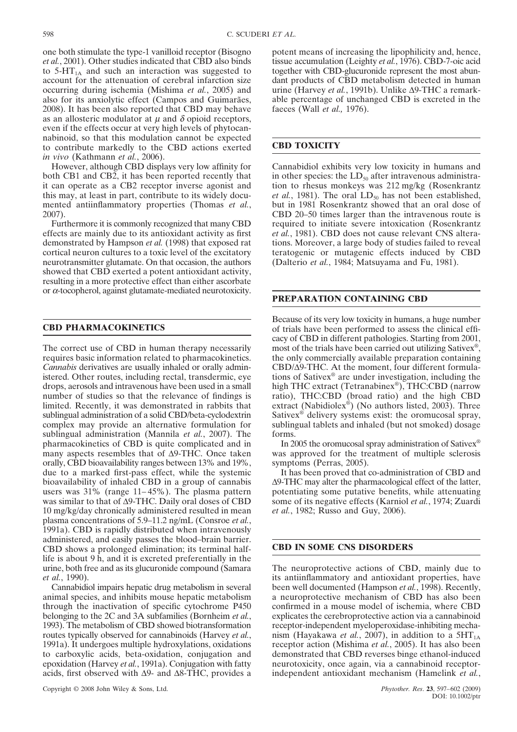one both stimulate the type-1 vanilloid receptor (Bisogno *et al.*, 2001). Other studies indicated that CBD also binds to  $5-\text{HT}_{1\text{A}}$  and such an interaction was suggested to account for the attenuation of cerebral infarction size occurring during ischemia (Mishima *et al.*, 2005) and also for its anxiolytic effect (Campos and Guimarães, 2008). It has been also reported that CBD may behave as an allosteric modulator at  $\mu$  and  $\delta$  opioid receptors, even if the effects occur at very high levels of phytocannabinoid, so that this modulation cannot be expected to contribute markedly to the CBD actions exerted *in vivo* (Kathmann *et al.*, 2006).

However, although CBD displays very low affinity for both CB1 and CB2, it has been reported recently that it can operate as a CB2 receptor inverse agonist and this may, at least in part, contribute to its widely documented antiinflammatory properties (Thomas *et al.*, 2007).

Furthermore it is commonly recognized that many CBD effects are mainly due to its antioxidant activity as first demonstrated by Hampson *et al.* (1998) that exposed rat cortical neuron cultures to a toxic level of the excitatory neurotransmitter glutamate. On that occasion, the authors showed that CBD exerted a potent antioxidant activity, resulting in a more protective effect than either ascorbate or α-tocopherol, against glutamate-mediated neurotoxicity.

## **CBD PHARMACOKINETICS**

The correct use of CBD in human therapy necessarily requires basic information related to pharmacokinetics. *Cannabis* derivatives are usually inhaled or orally administered. Other routes, including rectal, transdermic, eye drops, aerosols and intravenous have been used in a small number of studies so that the relevance of findings is limited. Recently, it was demonstrated in rabbits that sublingual administration of a solid CBD/beta-cyclodextrin complex may provide an alternative formulation for sublingual administration (Mannila *et al.*, 2007). The pharmacokinetics of CBD is quite complicated and in many aspects resembles that of Δ9-THC. Once taken orally, CBD bioavailability ranges between 13% and 19%, due to a marked first-pass effect, while the systemic bioavailability of inhaled CBD in a group of cannabis users was 31% (range 11-45%). The plasma pattern was similar to that of Δ9-THC. Daily oral doses of CBD 10 mg/kg/day chronically administered resulted in mean plasma concentrations of 5.9–11.2 ng/mL (Consroe *et al.*, 1991a). CBD is rapidly distributed when intravenously administered, and easily passes the blood–brain barrier. CBD shows a prolonged elimination; its terminal halflife is about 9 h, and it is excreted preferentially in the urine, both free and as its glucuronide compound (Samara *et al.*, 1990).

Cannabidiol impairs hepatic drug metabolism in several animal species, and inhibits mouse hepatic metabolism through the inactivation of specific cytochrome P450 belonging to the 2C and 3A subfamilies (Bornheim *et al.*, 1993). The metabolism of CBD showed biotransformation routes typically observed for cannabinoids (Harvey *et al.*, 1991a). It undergoes multiple hydroxylations, oxidations to carboxylic acids, beta-oxidation, conjugation and epoxidation (Harvey *et al.*, 1991a). Conjugation with fatty acids, first observed with Δ9- and Δ8-THC, provides a potent means of increasing the lipophilicity and, hence, tissue accumulation (Leighty *et al.*, 1976). CBD-7-oic acid together with CBD-glucuronide represent the most abundant products of CBD metabolism detected in human urine (Harvey *et al.*, 1991b). Unlike Δ9-THC a remarkable percentage of unchanged CBD is excreted in the faeces (Wall *et al.,* 1976).

## **CBD TOXICITY**

Cannabidiol exhibits very low toxicity in humans and in other species: the  $LD_{50}$  after intravenous administration to rhesus monkeys was 212 mg/kg (Rosenkrantz *et al.*, 1981). The oral  $LD_{50}$  has not been established, but in 1981 Rosenkrantz showed that an oral dose of CBD 20–50 times larger than the intravenous route is required to initiate severe intoxication (Rosenkrantz *et al.*, 1981). CBD does not cause relevant CNS alterations. Moreover, a large body of studies failed to reveal teratogenic or mutagenic effects induced by CBD (Dalterio *et al.*, 1984; Matsuyama and Fu, 1981).

## **PREPARATION CONTAINING CBD**

Because of its very low toxicity in humans, a huge number of trials have been performed to assess the clinical efficacy of CBD in different pathologies. Starting from 2001, most of the trials have been carried out utilizing Sativex®, the only commercially available preparation containing CBD/Δ9-THC. At the moment, four different formulations of Sativex® are under investigation, including the high THC extract (Tetranabinex®), THC:CBD (narrow ratio), THC:CBD (broad ratio) and the high CBD extract (Nabidiolex®) (No authors listed, 2003). Three Sativex® delivery systems exist: the oromucosal spray, sublingual tablets and inhaled (but not smoked) dosage forms.

In 2005 the oromucosal spray administration of Sativex® was approved for the treatment of multiple sclerosis symptoms (Perras, 2005).

It has been proved that co-administration of CBD and Δ9-THC may alter the pharmacological effect of the latter, potentiating some putative benefits, while attenuating some of its negative effects (Karniol *et al.*, 1974; Zuardi *et al.*, 1982; Russo and Guy, 2006).

## **CBD IN SOME CNS DISORDERS**

The neuroprotective actions of CBD, mainly due to its antiinflammatory and antioxidant properties, have been well documented (Hampson *et al.*, 1998). Recently, a neuroprotective mechanism of CBD has also been confirmed in a mouse model of ischemia, where CBD explicates the cerebroprotective action via a cannabinoid receptor-independent myeloperoxidase-inhibiting mechanism (Hayakawa *et al.*, 2007), in addition to a  $5HT_{1A}$ receptor action (Mishima *et al.*, 2005). It has also been demonstrated that CBD reverses binge ethanol-induced neurotoxicity, once again, via a cannabinoid receptorindependent antioxidant mechanism (Hamelink *et al.*,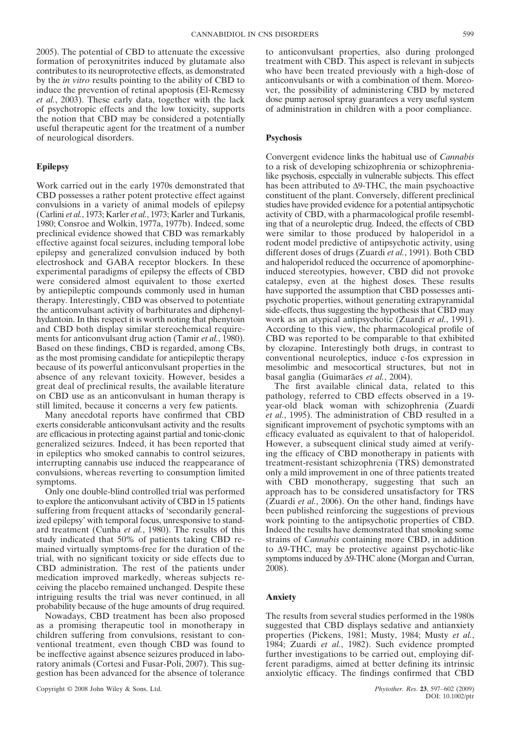2005). The potential of CBD to attenuate the excessive formation of peroxynitrites induced by glutamate also contributes to its neuroprotective effects, as demonstrated by the *in vitro* results pointing to the ability of CBD to induce the prevention of retinal apoptosis (El-Remessy *et al.*, 2003). These early data, together with the lack of psychotropic effects and the low toxicity, supports the notion that CBD may be considered a potentially useful therapeutic agent for the treatment of a number of neurological disorders.

## **Epilepsy**

Work carried out in the early 1970s demonstrated that CBD possesses a rather potent protective effect against convulsions in a variety of animal models of epilepsy (Carlini *et al.*, 1973; Karler *et al.*, 1973; Karler and Turkanis, 1980; Consroe and Wolkin, 1977a, 1977b). Indeed, some preclinical evidence showed that CBD was remarkably effective against focal seizures, including temporal lobe epilepsy and generalized convulsion induced by both electroshock and GABA receptor blockers. In these experimental paradigms of epilepsy the effects of CBD were considered almost equivalent to those exerted by antiepileptic compounds commonly used in human therapy. Interestingly, CBD was observed to potentiate the anticonvulsant activity of barbiturates and diphenylhydantoin. In this respect it is worth noting that phenytoin and CBD both display similar stereochemical requirements for anticonvulsant drug action (Tamir *et al.*, 1980). Based on these findings, CBD is regarded, among CBs, as the most promising candidate for antiepileptic therapy because of its powerful anticonvulsant properties in the absence of any relevant toxicity. However, besides a great deal of preclinical results, the available literature on CBD use as an anticonvulsant in human therapy is still limited, because it concerns a very few patients.

Many anecdotal reports have confirmed that CBD exerts considerable anticonvulsant activity and the results are efficacious in protecting against partial and tonic-clonic generalized seizures. Indeed, it has been reported that in epileptics who smoked cannabis to control seizures, interrupting cannabis use induced the reappearance of convulsions, whereas reverting to consumption limited symptoms.

Only one double-blind controlled trial was performed to explore the anticonvulsant activity of CBD in 15 patients suffering from frequent attacks of 'secondarily generalized epilepsy' with temporal focus, unresponsive to standard treatment (Cunha *et al.*, 1980). The results of this study indicated that 50% of patients taking CBD remained virtually symptoms-free for the duration of the trial, with no significant toxicity or side effects due to CBD administration. The rest of the patients under medication improved markedly, whereas subjects receiving the placebo remained unchanged. Despite these intriguing results the trial was never continued, in all probability because of the huge amounts of drug required.

Nowadays, CBD treatment has been also proposed as a promising therapeutic tool in monotherapy in children suffering from convulsions, resistant to conventional treatment, even though CBD was found to be ineffective against absence seizures produced in laboratory animals (Cortesi and Fusar-Poli, 2007). This suggestion has been advanced for the absence of tolerance

to anticonvulsant properties, also during prolonged treatment with CBD. This aspect is relevant in subjects who have been treated previously with a high-dose of anticonvulsants or with a combination of them. Moreover, the possibility of administering CBD by metered dose pump aerosol spray guarantees a very useful system of administration in children with a poor compliance.

#### **Psychosis**

Convergent evidence links the habitual use of *Cannabis* to a risk of developing schizophrenia or schizophrenialike psychosis, especially in vulnerable subjects. This effect has been attributed to Δ9-THC, the main psychoactive constituent of the plant. Conversely, different preclinical studies have provided evidence for a potential antipsychotic activity of CBD, with a pharmacological profile resembling that of a neuroleptic drug. Indeed, the effects of CBD were similar to those produced by haloperidol in a rodent model predictive of antipsychotic activity, using different doses of drugs (Zuardi *et al.*, 1991). Both CBD and haloperidol reduced the occurrence of apomorphineinduced stereotypies, however, CBD did not provoke catalepsy, even at the highest doses. These results have supported the assumption that CBD possesses antipsychotic properties, without generating extrapyramidal side-effects, thus suggesting the hypothesis that CBD may work as an atypical antipsychotic (Zuardi *et al.*, 1991). According to this view, the pharmacological profile of CBD was reported to be comparable to that exhibited by clozapine. Interestingly both drugs, in contrast to conventional neuroleptics, induce c-fos expression in mesolimbic and mesocortical structures, but not in basal ganglia (Guimarães *et al.*, 2004).

The first available clinical data, related to this pathology, referred to CBD effects observed in a 19 year-old black woman with schizophrenia (Zuardi *et al.*, 1995). The administration of CBD resulted in a significant improvement of psychotic symptoms with an efficacy evaluated as equivalent to that of haloperidol. However, a subsequent clinical study aimed at verifying the efficacy of CBD monotherapy in patients with treatment-resistant schizophrenia (TRS) demonstrated only a mild improvement in one of three patients treated with CBD monotherapy, suggesting that such an approach has to be considered unsatisfactory for TRS (Zuardi *et al.*, 2006). On the other hand, findings have been published reinforcing the suggestions of previous work pointing to the antipsychotic properties of CBD. Indeed the results have demonstrated that smoking some strains of *Cannabis* containing more CBD, in addition to Δ9-THC, may be protective against psychotic-like symptoms induced by Δ9-THC alone (Morgan and Curran, 2008).

#### **Anxiety**

The results from several studies performed in the 1980s suggested that CBD displays sedative and antianxiety properties (Pickens, 1981; Musty, 1984; Musty *et al.*, 1984; Zuardi *et al.*, 1982). Such evidence prompted further investigations to be carried out, employing different paradigms, aimed at better defining its intrinsic anxiolytic efficacy. The findings confirmed that CBD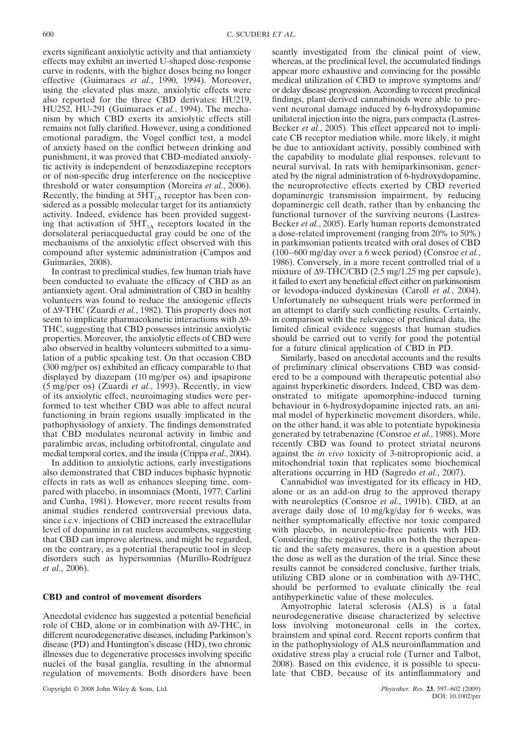exerts significant anxiolytic activity and that antianxiety effects may exhibit an inverted U-shaped dose-response curve in rodents, with the higher doses being no longer effective (Guimaraes *et al.*, 1990, 1994). Moreover, using the elevated plus maze, anxiolytic effects were also reported for the three CBD derivates: HU219, HU252, HU-291 (Guimaraes *et al.*, 1994). The mechanism by which CBD exerts its anxiolytic effects still remains not fully clarified. However, using a conditioned emotional paradigm, the Vogel conflict test, a model of anxiety based on the conflict between drinking and punishment, it was proved that CBD-mediated anxiolytic activity is independent of benzodiazepine receptors or of non-specific drug interference on the nociceptive threshold or water consumption (Moreira *et al.*, 2006). Recently, the binding at  $5HT<sub>1A</sub>$  receptor has been considered as a possible molecular target for its antianxiety activity. Indeed, evidence has been provided suggesting that activation of  $5HT<sub>1A</sub>$  receptors located in the dorsolateral periacqueductal gray could be one of the mechanisms of the anxiolytic effect observed with this compound after systemic administration (Campos and Guimarães, 2008).

In contrast to preclinical studies, few human trials have been conducted to evaluate the efficacy of CBD as an antianxiety agent. Oral administration of CBD in healthy volunteers was found to reduce the anxiogenic effects of Δ9-THC (Zuardi *et al.*, 1982). This property does not seem to implicate pharmacokinetic interactions with Δ9- THC, suggesting that CBD possesses intrinsic anxiolytic properties. Moreover, the anxiolytic effects of CBD were also observed in healthy volunteers submitted to a simulation of a public speaking test. On that occasion CBD (300 mg/per os) exhibited an efficacy comparable to that displayed by diazepam (10 mg/per os) and ipsapirone (5 mg/per os) (Zuardi *et al.*, 1993). Recently, in view of its anxiolytic effect, neuroimaging studies were performed to test whether CBD was able to affect neural functioning in brain regions usually implicated in the pathophysiology of anxiety. The findings demonstrated that CBD modulates neuronal activity in limbic and paralimbic areas, including orbitofrontal, cingulate and medial temporal cortex, and the insula (Crippa *et al.*, 2004).

In addition to anxiolytic actions, early investigations also demonstrated that CBD induces biphasic hypnotic effects in rats as well as enhances sleeping time, compared with placebo, in insomniacs (Monti, 1977; Carlini and Cunha, 1981). However, more recent results from animal studies rendered controversial previous data, since i.c.v. injections of CBD increased the extracellular level of dopamine in rat nucleus accumbens, suggesting that CBD can improve alertness, and might be regarded, on the contrary, as a potential therapeutic tool in sleep disorders such as hypersomnias (Murillo-Rodríguez *et al.*, 2006).

#### **CBD and control of movement disorders**

Anecdotal evidence has suggested a potential beneficial role of CBD, alone or in combination with Δ9-THC, in different neurodegenerative diseases, including Parkinson's disease (PD) and Huntington's disease (HD), two chronic illnesses due to degenerative processes involving specific nuclei of the basal ganglia, resulting in the abnormal regulation of movements. Both disorders have been

Copyright © 2008 John Wiley & Sons, Ltd. *Phytother. Res*. **23**, 597–602 (2009)

scantly investigated from the clinical point of view, whereas, at the preclinical level, the accumulated findings appear more exhaustive and convincing for the possible medical utilization of CBD to improve symptoms and/ or delay disease progression. According to recent preclinical findings, plant-derived cannabinoids were able to prevent neuronal damage induced by 6-hydroxydopamine unilateral injection into the nigra, pars compacta (Lastres-Becker *et al.*, 2005). This effect appeared not to implicate CB receptor mediation while, more likely, it might be due to antioxidant activity, possibly combined with the capability to modulate glial responses, relevant to neural survival. In rats with hemiparkinsonism, generated by the nigral administration of 6-hydroxydopamine, the neuroprotective effects exerted by CBD reverted dopaminergic transmission impairment, by reducing dopaminergic cell death, rather than by enhancing the functional turnover of the surviving neurons (Lastres-Becker *et al.*, 2005). Early human reports demonstrated a dose-related improvement (ranging from 20% to 50%) in parkinsonian patients treated with oral doses of CBD (100–600 mg/day over a 6 week period) (Consroe *et al.*, 1986). Conversely, in a more recent controlled trial of a mixture of Δ9-THC/CBD (2.5 mg/1.25 mg per capsule), it failed to exert any beneficial effect either on parkinsonism or levodopa-induced dyskinesias (Caroll *et al.*, 2004). Unfortunately no subsequent trials were performed in an attempt to clarify such conflicting results. Certainly, in comparison with the relevance of preclinical data, the limited clinical evidence suggests that human studies should be carried out to verify for good the potential for a future clinical application of CBD in PD.

Similarly, based on anecdotal accounts and the results of preliminary clinical observations CBD was considered to be a compound with therapeutic potential also against hyperkinetic disorders. Indeed, CBD was demonstrated to mitigate apomorphine-induced turning behaviour in 6-hydroxydopamine injected rats, an animal model of hyperkinetic movement disorders, while, on the other hand, it was able to potentiate hypokinesia generated by tetrabenazine (Consroe *et al.*, 1988). More recently CBD was found to protect striatal neurons against the *in vivo* toxicity of 3-nitropropionic acid, a mitochondrial toxin that replicates some biochemical alterations occurring in HD (Sagredo *et al.*, 2007).

Cannabidiol was investigated for its efficacy in HD, alone or as an add-on drug to the approved therapy with neuroleptics (Consroe *et al.*, 1991b). CBD, at an average daily dose of 10 mg/kg/day for 6 weeks, was neither symptomatically effective nor toxic compared with placebo, in neuroleptic-free patients with HD. Considering the negative results on both the therapeutic and the safety measures, there is a question about the dose as well as the duration of the trial. Since these results cannot be considered conclusive, further trials, utilizing CBD alone or in combination with Δ9-THC, should be performed to evaluate clinically the real antihyperkinetic value of these molecules.

Amyotrophic lateral sclerosis (ALS) is a fatal neurodegenerative disease characterized by selective loss involving motoneuronal cells in the cortex, brainstem and spinal cord. Recent reports confirm that in the pathophysiology of ALS neuroinflammation and oxidative stress play a crucial role (Turner and Talbot, 2008). Based on this evidence, it is possible to speculate that CBD, because of its antinflammatory and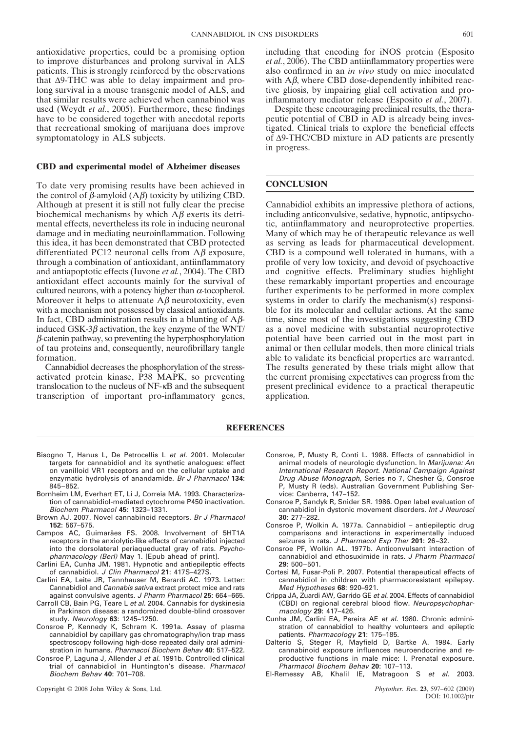antioxidative properties, could be a promising option to improve disturbances and prolong survival in ALS patients. This is strongly reinforced by the observations that Δ9-THC was able to delay impairment and prolong survival in a mouse transgenic model of ALS, and that similar results were achieved when cannabinol was used (Weydt *et al.*, 2005). Furthermore, these findings have to be considered together with anecdotal reports that recreational smoking of marijuana does improve symptomatology in ALS subjects.

#### **CBD and experimental model of Alzheimer diseases**

To date very promising results have been achieved in the control of  $\beta$ -amyloid  $(A\beta)$  toxicity by utilizing CBD. Although at present it is still not fully clear the precise biochemical mechanisms by which  $A\beta$  exerts its detrimental effects, nevertheless its role in inducing neuronal damage and in mediating neuroinflammation. Following this idea, it has been demonstrated that CBD protected differentiated PC12 neuronal cells from  $A\beta$  exposure, through a combination of antioxidant, antiinflammatory and antiapoptotic effects (Iuvone *et al.*, 2004). The CBD antioxidant effect accounts mainly for the survival of cultured neurons, with a potency higher than  $\alpha$ -tocopherol. Moreover it helps to attenuate  $\overrightarrow{AB}$  neurotoxicity, even with a mechanism not possessed by classical antioxidants. In fact, CBD administration results in a blunting of Aβinduced GSK- $3\beta$  activation, the key enzyme of the WNT/ β-catenin pathway, so preventing the hyperphosphorylation of tau proteins and, consequently, neurofibrillary tangle formation.

Cannabidiol decreases the phosphorylation of the stressactivated protein kinase, P38 MAPK, so preventing translocation to the nucleus of NF-κB and the subsequent transcription of important pro-inflammatory genes, including that encoding for iNOS protein (Esposito *et al.*, 2006). The CBD antiinflammatory properties were also confirmed in an *in vivo* study on mice inoculated with  $A\beta$ , where CBD dose-dependently inhibited reactive gliosis, by impairing glial cell activation and proinflammatory mediator release (Esposito *et al.*, 2007).

Despite these encouraging preclinical results, the therapeutic potential of CBD in AD is already being investigated. Clinical trials to explore the beneficial effects of Δ9-THC/CBD mixture in AD patients are presently in progress.

#### **CONCLUSION**

Cannabidiol exhibits an impressive plethora of actions, including anticonvulsive, sedative, hypnotic, antipsychotic, antiinflammatory and neuroprotective properties. Many of which may be of therapeutic relevance as well as serving as leads for pharmaceutical development. CBD is a compound well tolerated in humans, with a profile of very low toxicity, and devoid of psychoactive and cognitive effects. Preliminary studies highlight these remarkably important properties and encourage further experiments to be performed in more complex systems in order to clarify the mechanism(s) responsible for its molecular and cellular actions. At the same time, since most of the investigations suggesting CBD as a novel medicine with substantial neuroprotective potential have been carried out in the most part in animal or then cellular models, then more clinical trials able to validate its beneficial properties are warranted. The results generated by these trials might allow that the current promising expectatives can progress from the present preclinical evidence to a practical therapeutic application.

#### **REFERENCES**

- Bisogno T, Hanus L, De Petrocellis L et al. 2001. Molecular targets for cannabidiol and its synthetic analogues: effect on vanilloid VR1 receptors and on the cellular uptake and enzymatic hydrolysis of anandamide. Br J Pharmacol **134**: 845–852.
- Bornheim LM, Everhart ET, Li J, Correia MA. 1993. Characterization of cannabidiol-mediated cytochrome P450 inactivation. Biochem Pharmacol **45**: 1323–1331.
- Brown AJ. 2007. Novel cannabinoid receptors. Br J Pharmacol **152**: 567–575.
- Campos AC, Guimarães FS. 2008. Involvement of 5HT1A receptors in the anxiolytic-like effects of cannabidiol injected into the dorsolateral periaqueductal gray of rats. Psychopharmacology (Berl) May 1. [Epub ahead of print].

Carlini EA, Cunha JM. 1981. Hypnotic and antiepileptic effects of cannabidiol. J Clin Pharmacol **21**: 417S–427S.

- Carlini EA, Leite JR, Tannhauser M, Berardi AC. 1973. Letter: Cannabidiol and Cannabis sativa extract protect mice and rats against convulsive agents. J Pharm Pharmacol **25**: 664–665.
- Carroll CB, Bain PG, Teare L et al. 2004. Cannabis for dyskinesia in Parkinson disease: a randomized double-blind crossover study. Neurology **63**: 1245–1250.
- Consroe P, Kennedy K, Schram K. 1991a. Assay of plasma cannabidiol by capillary gas chromatography/ion trap mass spectroscopy following high-dose repeated daily oral administration in humans. Pharmacol Biochem Behav **40**: 517–522.
- Consroe P, Laguna J, Allender J et al. 1991b. Controlled clinical trial of cannabidiol in Huntington's disease. Pharmacol Biochem Behav **40**: 701–708.
- Consroe, P, Musty R, Conti L. 1988. Effects of cannabidiol in animal models of neurologic dysfunction. In Marijuana: An International Research Report. National Campaign Against Drug Abuse Monograph, Series no 7, Chesher G, Consroe P, Musty R (eds). Australian Government Publishing Service: Canberra, 147–152.
- Consroe P, Sandyk R, Snider SR. 1986. Open label evaluation of cannabidiol in dystonic movement disorders. Int J Neurosci **30**: 277–282.
- Consroe P, Wolkin A. 1977a. Cannabidiol antiepileptic drug comparisons and interactions in experimentally induced seizures in rats. J Pharmacol Exp Ther **201**: 26–32.
- Consroe PF, Wolkin AL. 1977b. Anticonvulsant interaction of cannabidiol and ethosuximide in rats. J Pharm Pharmacol **29**: 500–501.
- Cortesi M, Fusar-Poli P. 2007. Potential therapeutical effects of cannabidiol in children with pharmacoresistant epilepsy. Med Hypotheses **68**: 920–921.
- Crippa JA, Zuardi AW, Garrido GE et al. 2004. Effects of cannabidiol (CBD) on regional cerebral blood flow. Neuropsychopharmacology **29**: 417–426.
- Cunha JM, Carlini EA, Pereira AE et al. 1980. Chronic administration of cannabidiol to healthy volunteers and epileptic patients. Pharmacology **21**: 175–185.
- Dalterio S, Steger R, Mayfield D, Bartke A. 1984. Early cannabinoid exposure influences neuroendocrine and reproductive functions in male mice: I. Prenatal exposure. Pharmacol Biochem Behav **20**: 107–113.
- El-Remessy AB, Khalil IE, Matragoon S et al. 2003.